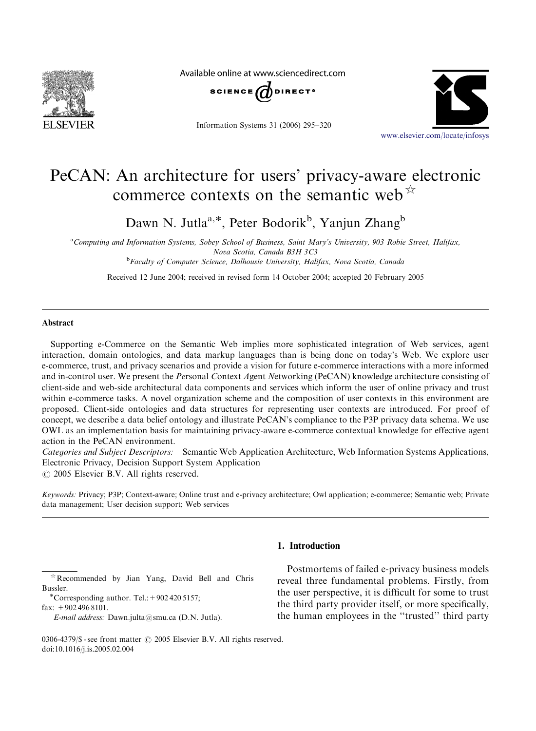

Available online at www.sciencedirect.com



Information Systems 31 (2006) 295–320



## PeCAN: An architecture for users' privacy-aware electronic commerce contexts on the semantic web  $\overrightarrow{r}$

Dawn N. Jutla<sup>a,\*</sup>, Peter Bodorik<sup>b</sup>, Yanjun Zhang<sup>b</sup>

a Computing and Information Systems, Sobey School of Business, Saint Mary's University, 903 Robie Street, Halifax, Nova Scotia, Canada B3H 3C3 <sup>b</sup>Faculty of Computer Science, Dalhousie University, Halifax, Nova Scotia, Canada

Received 12 June 2004; received in revised form 14 October 2004; accepted 20 February 2005

## Abstract

Supporting e-Commerce on the Semantic Web implies more sophisticated integration of Web services, agent interaction, domain ontologies, and data markup languages than is being done on today's Web. We explore user e-commerce, trust, and privacy scenarios and provide a vision for future e-commerce interactions with a more informed and in-control user. We present the Personal Context Agent Networking (PeCAN) knowledge architecture consisting of client-side and web-side architectural data components and services which inform the user of online privacy and trust within e-commerce tasks. A novel organization scheme and the composition of user contexts in this environment are proposed. Client-side ontologies and data structures for representing user contexts are introduced. For proof of concept, we describe a data belief ontology and illustrate PeCAN's compliance to the P3P privacy data schema. We use OWL as an implementation basis for maintaining privacy-aware e-commerce contextual knowledge for effective agent action in the PeCAN environment.

Categories and Subject Descriptors: Semantic Web Application Architecture, Web Information Systems Applications, Electronic Privacy, Decision Support System Application

 $O$  2005 Elsevier B.V. All rights reserved.

Keywords: Privacy; P3P; Context-aware; Online trust and e-privacy architecture; Owl application; e-commerce; Semantic web; Private data management; User decision support; Web services

 $\overrightarrow{r}$  Recommended by Jian Yang, David Bell and Chris Bussler.<br>\*Corresponding author. Tel.: +902 420 5157;

fax: +902 496 8101.

E-mail address: Dawn.julta@smu.ca (D.N. Jutla).

## 1. Introduction

Postmortems of failed e-privacy business models reveal three fundamental problems. Firstly, from the user perspective, it is difficult for some to trust the third party provider itself, or more specifically, the human employees in the ''trusted'' third party

0306-4379/\$ - see front matter  $\odot$  2005 Elsevier B.V. All rights reserved. doi:10.1016/j.is.2005.02.004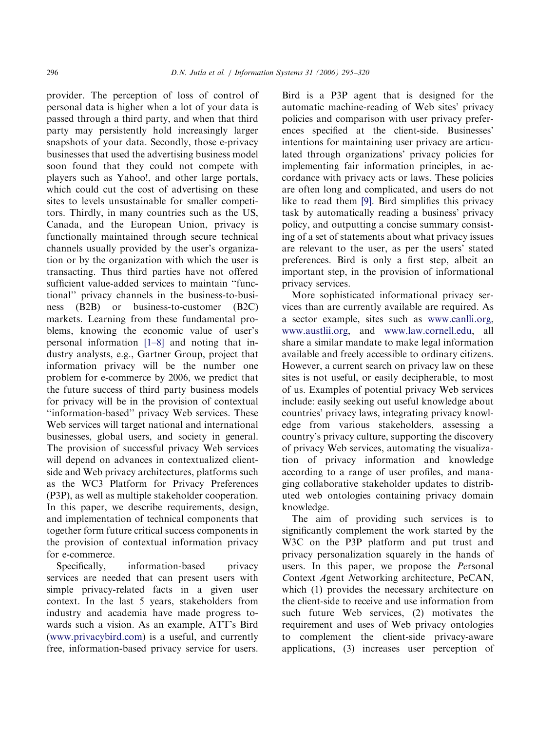provider. The perception of loss of control of personal data is higher when a lot of your data is passed through a third party, and when that third party may persistently hold increasingly larger snapshots of your data. Secondly, those e-privacy businesses that used the advertising business model soon found that they could not compete with players such as Yahoo!, and other large portals, which could cut the cost of advertising on these sites to levels unsustainable for smaller competitors. Thirdly, in many countries such as the US, Canada, and the European Union, privacy is functionally maintained through secure technical channels usually provided by the user's organization or by the organization with which the user is transacting. Thus third parties have not offered sufficient value-added services to maintain ''functional'' privacy channels in the business-to-business (B2B) or business-to-customer (B2C) markets. Learning from these fundamental problems, knowing the economic value of user's personal information [\[1–8\]](#page--1-0) and noting that industry analysts, e.g., Gartner Group, project that information privacy will be the number one problem for e-commerce by 2006, we predict that the future success of third party business models for privacy will be in the provision of contextual ''information-based'' privacy Web services. These Web services will target national and international businesses, global users, and society in general. The provision of successful privacy Web services will depend on advances in contextualized clientside and Web privacy architectures, platforms such as the WC3 Platform for Privacy Preferences (P3P), as well as multiple stakeholder cooperation. In this paper, we describe requirements, design, and implementation of technical components that together form future critical success components in the provision of contextual information privacy for e-commerce.

Specifically, information-based privacy services are needed that can present users with simple privacy-related facts in a given user context. In the last 5 years, stakeholders from industry and academia have made progress towards such a vision. As an example, ATT's Bird ([www.privacybird.com\)](http://www.privacybird.com) is a useful, and currently free, information-based privacy service for users.

Bird is a P3P agent that is designed for the automatic machine-reading of Web sites' privacy policies and comparison with user privacy preferences specified at the client-side. Businesses' intentions for maintaining user privacy are articulated through organizations' privacy policies for implementing fair information principles, in accordance with privacy acts or laws. These policies are often long and complicated, and users do not like to read them [\[9\].](#page--1-0) Bird simplifies this privacy task by automatically reading a business' privacy policy, and outputting a concise summary consisting of a set of statements about what privacy issues are relevant to the user, as per the users' stated preferences. Bird is only a first step, albeit an important step, in the provision of informational privacy services.

More sophisticated informational privacy services than are currently available are required. As a sector example, sites such as [www.canlli.org,](http://www.canlli.org) [www.austlii.org](http://www.austlii.org), and [www.law.cornell.edu](http://www.law.cornell.edu), all share a similar mandate to make legal information available and freely accessible to ordinary citizens. However, a current search on privacy law on these sites is not useful, or easily decipherable, to most of us. Examples of potential privacy Web services include: easily seeking out useful knowledge about countries' privacy laws, integrating privacy knowledge from various stakeholders, assessing a country's privacy culture, supporting the discovery of privacy Web services, automating the visualization of privacy information and knowledge according to a range of user profiles, and managing collaborative stakeholder updates to distributed web ontologies containing privacy domain knowledge.

The aim of providing such services is to significantly complement the work started by the W3C on the P3P platform and put trust and privacy personalization squarely in the hands of users. In this paper, we propose the Personal Context Agent Networking architecture, PeCAN, which (1) provides the necessary architecture on the client-side to receive and use information from such future Web services, (2) motivates the requirement and uses of Web privacy ontologies to complement the client-side privacy-aware applications, (3) increases user perception of